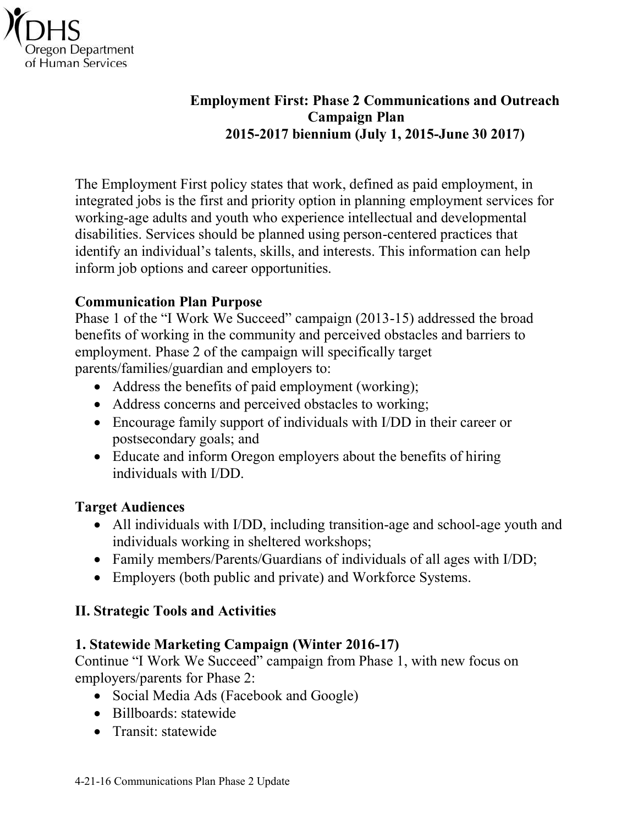

#### **Employment First: Phase 2 Communications and Outreach Campaign Plan 2015-2017 biennium (July 1, 2015-June 30 2017)**

The Employment First policy states that work, defined as paid employment, in integrated jobs is the first and priority option in planning employment services for working-age adults and youth who experience intellectual and developmental disabilities. Services should be planned using person-centered practices that identify an individual's talents, skills, and interests. This information can help inform job options and career opportunities.

#### **Communication Plan Purpose**

Phase 1 of the "I Work We Succeed" campaign (2013-15) addressed the broad benefits of working in the community and perceived obstacles and barriers to employment. Phase 2 of the campaign will specifically target parents/families/guardian and employers to:

- Address the benefits of paid employment (working);
- Address concerns and perceived obstacles to working;
- Encourage family support of individuals with I/DD in their career or postsecondary goals; and
- Educate and inform Oregon employers about the benefits of hiring individuals with I/DD.

#### **Target Audiences**

- All individuals with I/DD, including transition-age and school-age youth and individuals working in sheltered workshops;
- Family members/Parents/Guardians of individuals of all ages with I/DD;
- Employers (both public and private) and Workforce Systems.

#### **II. Strategic Tools and Activities**

#### **1. Statewide Marketing Campaign (Winter 2016-17)**

Continue "I Work We Succeed" campaign from Phase 1, with new focus on employers/parents for Phase 2:

- Social Media Ads (Facebook and Google)
- Billboards: statewide
- Transit: statewide